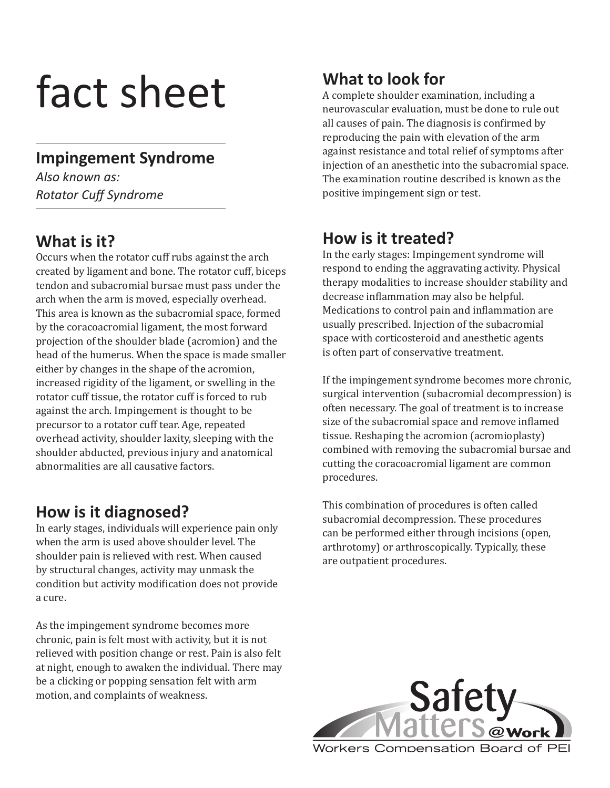# fact sheet

# **Impingement Syndrome**

*Also known as: Rotator Cuff Syndrome* 

# **What is it?**

Occurs when the rotator cuff rubs against the arch created by ligament and bone. The rotator cuff, biceps tendon and subacromial bursae must pass under the arch when the arm is moved, especially overhead. This area is known as the subacromial space, formed by the coracoacromial ligament, the most forward projection of the shoulder blade (acromion) and the head of the humerus. When the space is made smaller either by changes in the shape of the acromion, increased rigidity of the ligament, or swelling in the rotator cuff tissue, the rotator cuff is forced to rub against the arch. Impingement is thought to be precursor to a rotator cuff tear. Age, repeated overhead activity, shoulder laxity, sleeping with the shoulder abducted, previous injury and anatomical abnormalities are all causative factors.

# **How is it diagnosed?**

In early stages, individuals will experience pain only when the arm is used above shoulder level. The shoulder pain is relieved with rest. When caused by structural changes, activity may unmask the condition but activity modification does not provide a cure.

As the impingement syndrome becomes more chronic, pain is felt most with activity, but it is not relieved with position change or rest. Pain is also felt at night, enough to awaken the individual. There may be a clicking or popping sensation felt with arm motion, and complaints of weakness.

# **What to look for**

A complete shoulder examination, including a neurovascular evaluation, must be done to rule out all causes of pain. The diagnosis is confirmed by reproducing the pain with elevation of the arm against resistance and total relief of symptoms after injection of an anesthetic into the subacromial space. The examination routine described is known as the positive impingement sign or test.

# **How is it treated?**

In the early stages: Impingement syndrome will respond to ending the aggravating activity. Physical therapy modalities to increase shoulder stability and decrease inflammation may also be helpful. Medications to control pain and inflammation are usually prescribed. Injection of the subacromial space with corticosteroid and anesthetic agents is often part of conservative treatment.

If the impingement syndrome becomes more chronic, surgical intervention (subacromial decompression) is often necessary. The goal of treatment is to increase size of the subacromial space and remove inflamed tissue. Reshaping the acromion (acromioplasty) combined with removing the subacromial bursae and cutting the coracoacromial ligament are common procedures.

This combination of procedures is often called subacromial decompression. These procedures can be performed either through incisions (open, arthrotomy) or arthroscopically. Typically, these are outpatient procedures.